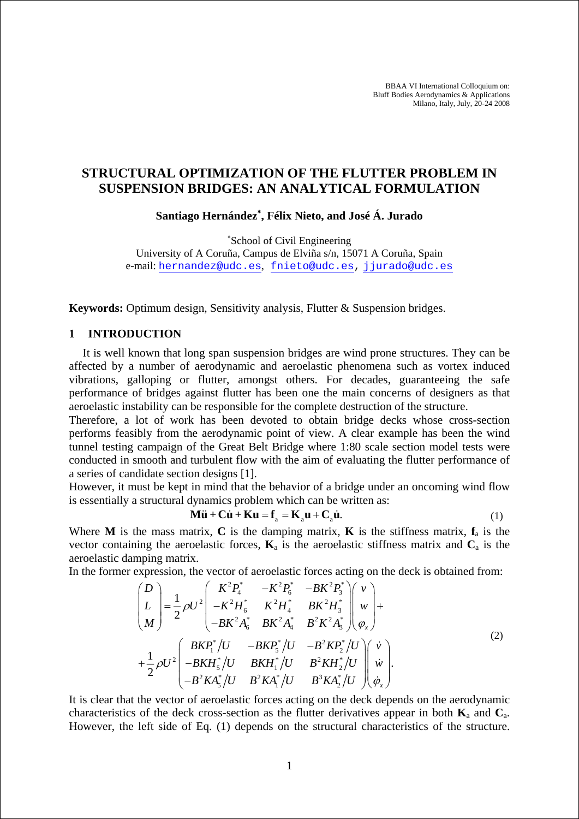BBAA VI International Colloquium on: Bluff Bodies Aerodynamics & Applications Milano, Italy, July, 20-24 2008

# **STRUCTURAL OPTIMIZATION OF THE FLUTTER PROBLEM IN SUSPENSION BRIDGES: AN ANALYTICAL FORMULATION**

**Santiago Hernández**<sup>∗</sup> **, Félix Nieto, and José Á. Jurado** 

∗ School of Civil Engineering

University of A Coruña, Campus de Elviña s/n, 15071 A Coruña, Spain e-mail: [hernandez@udc.es](mailto:hernandez@udc.es), [fnieto@udc.es](mailto:fnieto@udc.es), [jjurado@udc.es](mailto:jjurado@udc.es) 

**Keywords:** Optimum design, Sensitivity analysis, Flutter & Suspension bridges.

### **1 INTRODUCTION**

It is well known that long span suspension bridges are wind prone structures. They can be affected by a number of aerodynamic and aeroelastic phenomena such as vortex induced vibrations, galloping or flutter, amongst others. For decades, guaranteeing the safe performance of bridges against flutter has been one the main concerns of designers as that aeroelastic instability can be responsible for the complete destruction of the structure.

Therefore, a lot of work has been devoted to obtain bridge decks whose cross-section performs feasibly from the aerodynamic point of view. A clear example has been the wind tunnel testing campaign of the Great Belt Bridge where 1:80 scale section model tests were conducted in smooth and turbulent flow with the aim of evaluating the flutter performance of a series of candidate section designs [1].

However, it must be kept in mind that the behavior of a bridge under an oncoming wind flow is essentially a structural dynamics problem which can be written as:

$$
\mathbf{M}\ddot{\mathbf{u}} + \mathbf{C}\dot{\mathbf{u}} + \mathbf{K}\mathbf{u} = \mathbf{f}_{a} = \mathbf{K}_{a}\mathbf{u} + \mathbf{C}_{a}\dot{\mathbf{u}}.
$$
 (1)

Where **M** is the mass matrix, **C** is the damping matrix, **K** is the stiffness matrix,  $f_a$  is the vector containing the aeroelastic forces,  $\mathbf{K}_a$  is the aeroelastic stiffness matrix and  $\mathbf{C}_a$  is the aeroelastic damping matrix.

In the former expression, the vector of aeroelastic forces acting on the deck is obtained from:

$$
\begin{pmatrix}\nD \\
L \\
M\n\end{pmatrix} = \frac{1}{2} \rho U^2 \begin{pmatrix}\nK^2 P_4^* & -K^2 P_6^* & -B K^2 P_3^* \\
-K^2 H_6^* & K^2 H_4^* & B K^2 H_3^* \\
-B K^2 A_6^* & B K^2 A_4^* & B^2 K^2 A_3^* \end{pmatrix} \begin{pmatrix}\nv \\
w \\
\varphi_x\n\end{pmatrix} + \frac{1}{2} \rho U^2 \begin{pmatrix}\nB K P_1^* / U & -B K P_5^* / U & -B^2 K P_2^* / U \\
-B K H_5^* / U & B K H_1^* / U & B^2 K H_2^* / U \\
-B^2 K A_5^* / U & B^2 K A_1^* / U & B^3 K A_2^* / U\n\end{pmatrix} \begin{pmatrix}\n\dot{v} \\
\dot{w} \\
\dot{\varphi}_x\n\end{pmatrix}.
$$
\n(2)

It is clear that the vector of aeroelastic forces acting on the deck depends on the aerodynamic characteristics of the deck cross-section as the flutter derivatives appear in both  $\mathbf{K}_a$  and  $\mathbf{C}_a$ . However, the left side of Eq. (1) depends on the structural characteristics of the structure.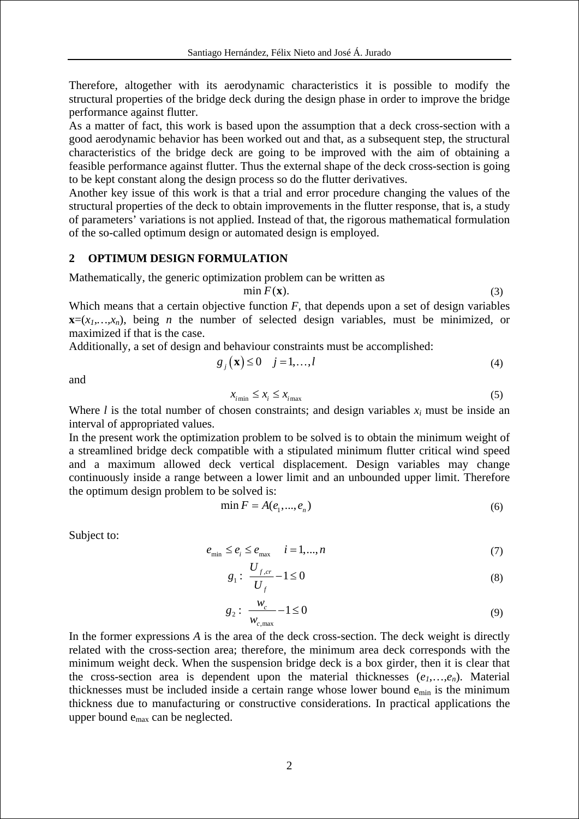Therefore, altogether with its aerodynamic characteristics it is possible to modify the structural properties of the bridge deck during the design phase in order to improve the bridge performance against flutter.

As a matter of fact, this work is based upon the assumption that a deck cross-section with a good aerodynamic behavior has been worked out and that, as a subsequent step, the structural characteristics of the bridge deck are going to be improved with the aim of obtaining a feasible performance against flutter. Thus the external shape of the deck cross-section is going to be kept constant along the design process so do the flutter derivatives.

Another key issue of this work is that a trial and error procedure changing the values of the structural properties of the deck to obtain improvements in the flutter response, that is, a study of parameters' variations is not applied. Instead of that, the rigorous mathematical formulation of the so-called optimum design or automated design is employed.

## **2 OPTIMUM DESIGN FORMULATION**

Mathematically, the generic optimization problem can be written as

$$
\min F(\mathbf{x}).\tag{3}
$$

Which means that a certain objective function  $F$ , that depends upon a set of design variables  $\mathbf{x}=(x_1,...,x_n)$ , being *n* the number of selected design variables, must be minimized, or maximized if that is the case.

Additionally, a set of design and behaviour constraints must be accomplished:

$$
g_j(\mathbf{x}) \le 0 \quad j = 1, \dots, l \tag{4}
$$

and

$$
x_{i_{\min}} \le x_i \le x_{i_{\max}} \tag{5}
$$

Where *l* is the total number of chosen constraints; and design variables  $x_i$  must be inside an interval of appropriated values.

In the present work the optimization problem to be solved is to obtain the minimum weight of a streamlined bridge deck compatible with a stipulated minimum flutter critical wind speed and a maximum allowed deck vertical displacement. Design variables may change continuously inside a range between a lower limit and an unbounded upper limit. Therefore the optimum design problem to be solved is:

$$
\min F = A(e_1, \dots, e_n) \tag{6}
$$

Subject to:

$$
e_{\min} \le e_i \le e_{\max} \quad i = 1, \dots, n \tag{7}
$$

$$
g_1: \frac{U_{f,cr}}{U_f} - 1 \le 0
$$
 (8)

$$
g_2: \frac{w_c}{w_{c,\text{max}}} - 1 \le 0 \tag{9}
$$

In the former expressions *A* is the area of the deck cross-section. The deck weight is directly related with the cross-section area; therefore, the minimum area deck corresponds with the minimum weight deck. When the suspension bridge deck is a box girder, then it is clear that the cross-section area is dependent upon the material thicknesses  $(e_1, \ldots, e_n)$ . Material thicknesses must be included inside a certain range whose lower bound  $e_{\min}$  is the minimum thickness due to manufacturing or constructive considerations. In practical applications the upper bound emax can be neglected.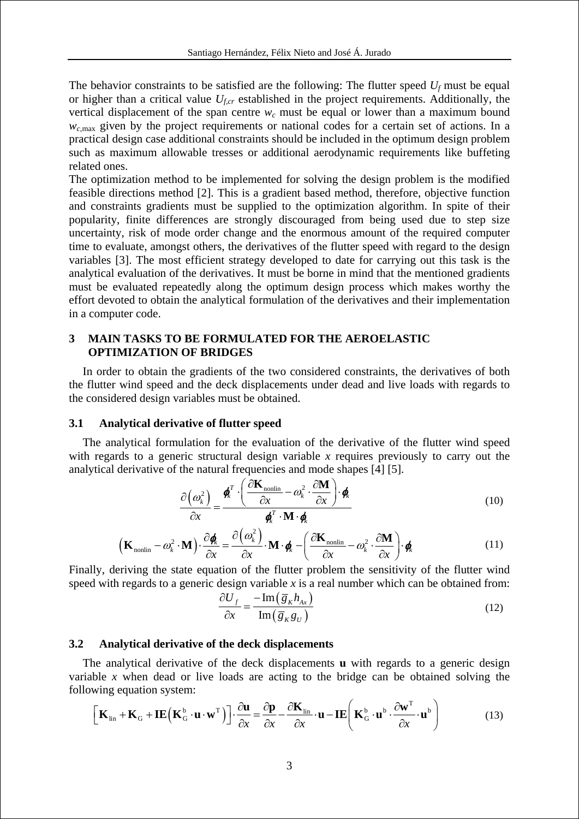The behavior constraints to be satisfied are the following: The flutter speed  $U_f$  must be equal or higher than a critical value *Uf,cr* established in the project requirements. Additionally, the vertical displacement of the span centre  $w_c$  must be equal or lower than a maximum bound *wc*,max given by the project requirements or national codes for a certain set of actions. In a practical design case additional constraints should be included in the optimum design problem such as maximum allowable tresses or additional aerodynamic requirements like buffeting related ones.

The optimization method to be implemented for solving the design problem is the modified feasible directions method [2]. This is a gradient based method, therefore, objective function and constraints gradients must be supplied to the optimization algorithm. In spite of their popularity, finite differences are strongly discouraged from being used due to step size uncertainty, risk of mode order change and the enormous amount of the required computer time to evaluate, amongst others, the derivatives of the flutter speed with regard to the design variables [3]. The most efficient strategy developed to date for carrying out this task is the analytical evaluation of the derivatives. It must be borne in mind that the mentioned gradients must be evaluated repeatedly along the optimum design process which makes worthy the effort devoted to obtain the analytical formulation of the derivatives and their implementation in a computer code.

### **3 MAIN TASKS TO BE FORMULATED FOR THE AEROELASTIC OPTIMIZATION OF BRIDGES**

In order to obtain the gradients of the two considered constraints, the derivatives of both the flutter wind speed and the deck displacements under dead and live loads with regards to the considered design variables must be obtained.

#### **3.1 Analytical derivative of flutter speed**

The analytical formulation for the evaluation of the derivative of the flutter wind speed with regards to a generic structural design variable *x* requires previously to carry out the analytical derivative of the natural frequencies and mode shapes [4] [5].

$$
\frac{\partial (\omega_k^2)}{\partial x} = \frac{\boldsymbol{\phi}_k^T \cdot \left( \frac{\partial \mathbf{K}_{\text{nonlin}}}{\partial x} - \omega_k^2 \cdot \frac{\partial \mathbf{M}}{\partial x} \right) \cdot \boldsymbol{\phi}_k}{\boldsymbol{\phi}_k^T \cdot \mathbf{M} \cdot \boldsymbol{\phi}_k}
$$
(10)

$$
\left(\mathbf{K}_{\text{nonlin}} - \omega_k^2 \cdot \mathbf{M}\right) \cdot \frac{\partial \phi_k}{\partial x} = \frac{\partial (\omega_k^2)}{\partial x} \cdot \mathbf{M} \cdot \phi_k - \left(\frac{\partial \mathbf{K}_{\text{nonlin}}}{\partial x} - \omega_k^2 \cdot \frac{\partial \mathbf{M}}{\partial x}\right) \cdot \phi_k
$$
(11)

Finally, deriving the state equation of the flutter problem the sensitivity of the flutter wind speed with regards to a generic design variable *x* is a real number which can be obtained from:

$$
\frac{\partial U_f}{\partial x} = \frac{-\operatorname{Im}(\overline{g}_k h_{Ax})}{\operatorname{Im}(\overline{g}_k g_U)}\tag{12}
$$

### **3.2 Analytical derivative of the deck displacements**

The analytical derivative of the deck displacements **u** with regards to a generic design variable *x* when dead or live loads are acting to the bridge can be obtained solving the following equation system:

$$
\left[\mathbf{K}_{\text{lin}} + \mathbf{K}_{\text{G}} + \mathbf{I}\mathbf{E}\left(\mathbf{K}_{\text{G}}^{\text{b}} \cdot \mathbf{u} \cdot \mathbf{w}^{\text{T}}\right)\right] \cdot \frac{\partial \mathbf{u}}{\partial x} = \frac{\partial \mathbf{p}}{\partial x} - \frac{\partial \mathbf{K}_{\text{lin}}}{\partial x} \cdot \mathbf{u} - \mathbf{I}\mathbf{E}\left(\mathbf{K}_{\text{G}}^{\text{b}} \cdot \mathbf{u}^{\text{b}} \cdot \frac{\partial \mathbf{w}^{\text{T}}}{\partial x} \cdot \mathbf{u}^{\text{b}}\right) \tag{13}
$$